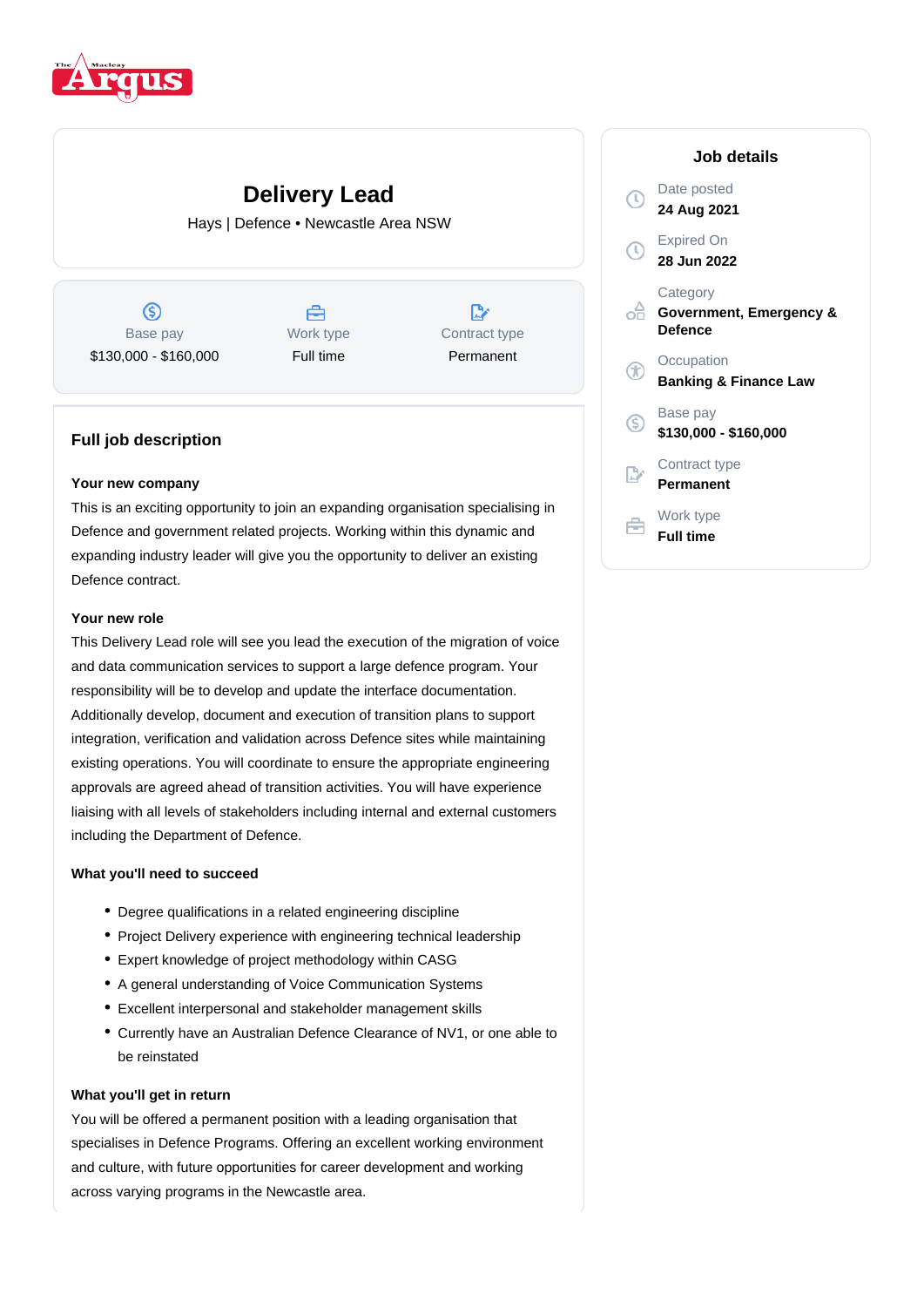

# **Delivery Lead**

Hays | Defence • Newcastle Area NSW

 $\circledS$ Base pay \$130,000 - \$160,000

A Work type Full time



### **Full job description**

#### **Your new company**

This is an exciting opportunity to join an expanding organisation specialising in Defence and government related projects. Working within this dynamic and expanding industry leader will give you the opportunity to deliver an existing Defence contract.

#### **Your new role**

This Delivery Lead role will see you lead the execution of the migration of voice and data communication services to support a large defence program. Your responsibility will be to develop and update the interface documentation. Additionally develop, document and execution of transition plans to support integration, verification and validation across Defence sites while maintaining existing operations. You will coordinate to ensure the appropriate engineering approvals are agreed ahead of transition activities. You will have experience liaising with all levels of stakeholders including internal and external customers including the Department of Defence.

#### **What you'll need to succeed**

- Degree qualifications in a related engineering discipline
- Project Delivery experience with engineering technical leadership
- Expert knowledge of project methodology within CASG
- A general understanding of Voice Communication Systems
- Excellent interpersonal and stakeholder management skills
- Currently have an Australian Defence Clearance of NV1, or one able to be reinstated

#### **What you'll get in return**

You will be offered a permanent position with a leading organisation that specialises in Defence Programs. Offering an excellent working environment and culture, with future opportunities for career development and working across varying programs in the Newcastle area.

## **Job details** Date posted **24 Aug 2021** Expired On **28 Jun 2022 Category Government, Emergency & Defence Occupation Banking & Finance Law** Base pay  $\infty$ **\$130,000 - \$160,000** Contract type **Permanent** Work type A **Full time**